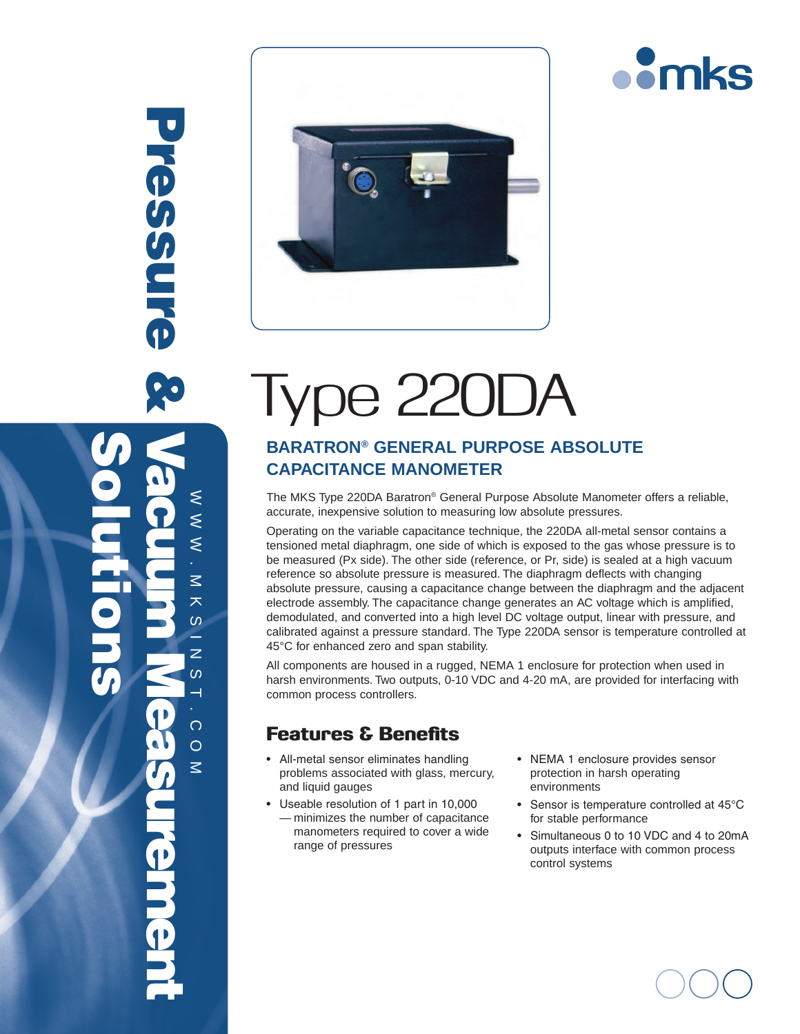

# Type 220DA

## **Baratron® General Purpose Absolute Capacitance Manometer**

The MKS Type 220DA Baratron® General Purpose Absolute Manometer offers a reliable, accurate, inexpensive solution to measuring low absolute pressures.

Operating on the variable capacitance technique, the 220DA all-metal sensor contains a tensioned metal diaphragm, one side of which is exposed to the gas whose pressure is to be measured (Px side). The other side (reference, or Pr, side) is sealed at a high vacuum reference so absolute pressure is measured. The diaphragm deflects with changing absolute pressure, causing a capacitance change between the diaphragm and the adjacent electrode assembly. The capacitance change generates an AC voltage which is amplified, demodulated, and converted into a high level DC voltage output, linear with pressure, and calibrated against a pressure standard. The Type 220DA sensor is temperature controlled at 45°C for enhanced zero and span stability.

All components are housed in a rugged, NEMA 1 enclosure for protection when used in harsh environments. Two outputs, 0-10 VDC and 4-20 mA, are provided for interfacing with common process controllers.

## Features & Benefits

- • All-metal sensor eliminates handling problems associated with glass, mercury, and liquid gauges
- • Useable resolution of 1 part in 10,000 — minimizes the number of capacitance manometers required to cover a wide range of pressures
- • NEMA 1 enclosure provides sensor protection in harsh operating environments
- Sensor is temperature controlled at 45°C for stable performance
- • Simultaneous 0 to 10 VDC and 4 to 20mA outputs interface with common process control systems

Pressure & **Pressure** Solutions Vacuum Measurement $\leq$ www.mksinst.com  $\leq$  $\leq$  $\leq$  $\overline{\mathbf{x}}$  $\omega$ z.  $\overline{z}$  $\omega$  $\overline{\phantom{0}}$  $\overline{O}$  $\circ$  $\leq$